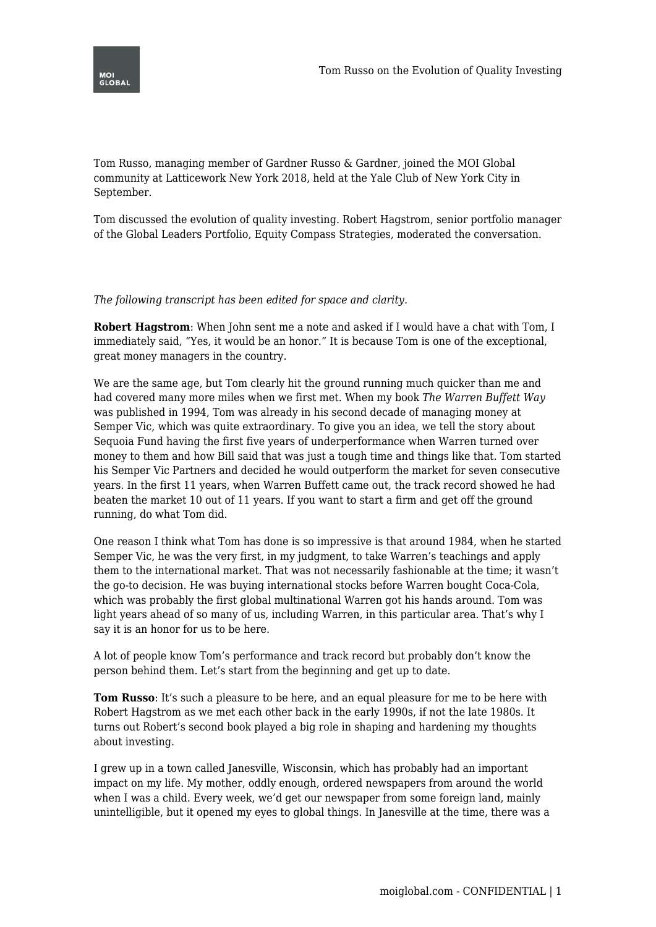

Tom Russo, managing member of Gardner Russo & Gardner, joined the MOI Global community at Latticework New York 2018, held at the Yale Club of New York City in September.

Tom discussed the evolution of quality investing. Robert Hagstrom, senior portfolio manager of the Global Leaders Portfolio, Equity Compass Strategies, moderated the conversation.

## *The following transcript has been edited for space and clarity.*

**Robert Hagstrom**: When John sent me a note and asked if I would have a chat with Tom, I immediately said, "Yes, it would be an honor." It is because Tom is one of the exceptional, great money managers in the country.

We are the same age, but Tom clearly hit the ground running much quicker than me and had covered many more miles when we first met. When my book *The Warren Buffett Way* was published in 1994, Tom was already in his second decade of managing money at Semper Vic, which was quite extraordinary. To give you an idea, we tell the story about Sequoia Fund having the first five years of underperformance when Warren turned over money to them and how Bill said that was just a tough time and things like that. Tom started his Semper Vic Partners and decided he would outperform the market for seven consecutive years. In the first 11 years, when Warren Buffett came out, the track record showed he had beaten the market 10 out of 11 years. If you want to start a firm and get off the ground running, do what Tom did.

One reason I think what Tom has done is so impressive is that around 1984, when he started Semper Vic, he was the very first, in my judgment, to take Warren's teachings and apply them to the international market. That was not necessarily fashionable at the time; it wasn't the go-to decision. He was buying international stocks before Warren bought Coca-Cola, which was probably the first global multinational Warren got his hands around. Tom was light years ahead of so many of us, including Warren, in this particular area. That's why I say it is an honor for us to be here.

A lot of people know Tom's performance and track record but probably don't know the person behind them. Let's start from the beginning and get up to date.

**Tom Russo**: It's such a pleasure to be here, and an equal pleasure for me to be here with Robert Hagstrom as we met each other back in the early 1990s, if not the late 1980s. It turns out Robert's second book played a big role in shaping and hardening my thoughts about investing.

I grew up in a town called Janesville, Wisconsin, which has probably had an important impact on my life. My mother, oddly enough, ordered newspapers from around the world when I was a child. Every week, we'd get our newspaper from some foreign land, mainly unintelligible, but it opened my eyes to global things. In Janesville at the time, there was a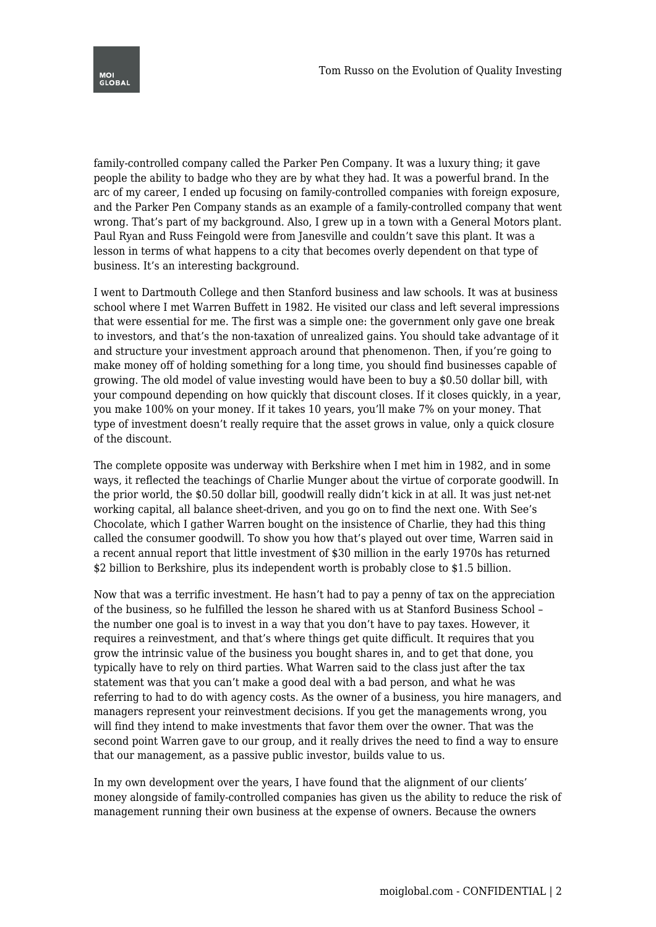

family-controlled company called the Parker Pen Company. It was a luxury thing; it gave people the ability to badge who they are by what they had. It was a powerful brand. In the arc of my career, I ended up focusing on family-controlled companies with foreign exposure, and the Parker Pen Company stands as an example of a family-controlled company that went wrong. That's part of my background. Also, I grew up in a town with a General Motors plant. Paul Ryan and Russ Feingold were from Janesville and couldn't save this plant. It was a lesson in terms of what happens to a city that becomes overly dependent on that type of business. It's an interesting background.

I went to Dartmouth College and then Stanford business and law schools. It was at business school where I met Warren Buffett in 1982. He visited our class and left several impressions that were essential for me. The first was a simple one: the government only gave one break to investors, and that's the non-taxation of unrealized gains. You should take advantage of it and structure your investment approach around that phenomenon. Then, if you're going to make money off of holding something for a long time, you should find businesses capable of growing. The old model of value investing would have been to buy a \$0.50 dollar bill, with your compound depending on how quickly that discount closes. If it closes quickly, in a year, you make 100% on your money. If it takes 10 years, you'll make 7% on your money. That type of investment doesn't really require that the asset grows in value, only a quick closure of the discount.

The complete opposite was underway with Berkshire when I met him in 1982, and in some ways, it reflected the teachings of Charlie Munger about the virtue of corporate goodwill. In the prior world, the \$0.50 dollar bill, goodwill really didn't kick in at all. It was just net-net working capital, all balance sheet-driven, and you go on to find the next one. With See's Chocolate, which I gather Warren bought on the insistence of Charlie, they had this thing called the consumer goodwill. To show you how that's played out over time, Warren said in a recent annual report that little investment of \$30 million in the early 1970s has returned \$2 billion to Berkshire, plus its independent worth is probably close to \$1.5 billion.

Now that was a terrific investment. He hasn't had to pay a penny of tax on the appreciation of the business, so he fulfilled the lesson he shared with us at Stanford Business School – the number one goal is to invest in a way that you don't have to pay taxes. However, it requires a reinvestment, and that's where things get quite difficult. It requires that you grow the intrinsic value of the business you bought shares in, and to get that done, you typically have to rely on third parties. What Warren said to the class just after the tax statement was that you can't make a good deal with a bad person, and what he was referring to had to do with agency costs. As the owner of a business, you hire managers, and managers represent your reinvestment decisions. If you get the managements wrong, you will find they intend to make investments that favor them over the owner. That was the second point Warren gave to our group, and it really drives the need to find a way to ensure that our management, as a passive public investor, builds value to us.

In my own development over the years, I have found that the alignment of our clients' money alongside of family-controlled companies has given us the ability to reduce the risk of management running their own business at the expense of owners. Because the owners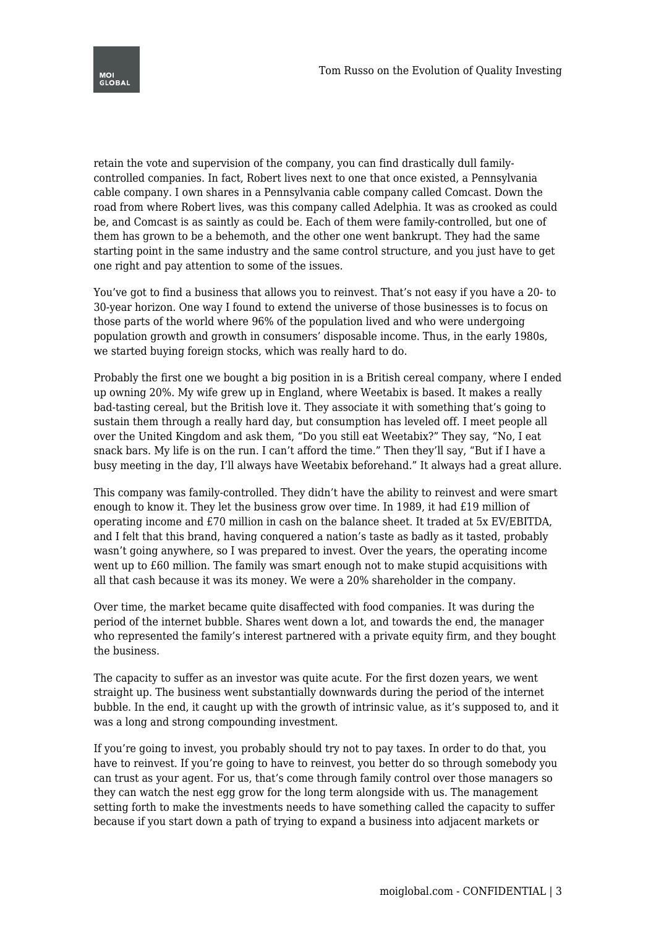

retain the vote and supervision of the company, you can find drastically dull familycontrolled companies. In fact, Robert lives next to one that once existed, a Pennsylvania cable company. I own shares in a Pennsylvania cable company called Comcast. Down the road from where Robert lives, was this company called Adelphia. It was as crooked as could be, and Comcast is as saintly as could be. Each of them were family-controlled, but one of them has grown to be a behemoth, and the other one went bankrupt. They had the same starting point in the same industry and the same control structure, and you just have to get one right and pay attention to some of the issues.

You've got to find a business that allows you to reinvest. That's not easy if you have a 20- to 30-year horizon. One way I found to extend the universe of those businesses is to focus on those parts of the world where 96% of the population lived and who were undergoing population growth and growth in consumers' disposable income. Thus, in the early 1980s, we started buying foreign stocks, which was really hard to do.

Probably the first one we bought a big position in is a British cereal company, where I ended up owning 20%. My wife grew up in England, where Weetabix is based. It makes a really bad-tasting cereal, but the British love it. They associate it with something that's going to sustain them through a really hard day, but consumption has leveled off. I meet people all over the United Kingdom and ask them, "Do you still eat Weetabix?" They say, "No, I eat snack bars. My life is on the run. I can't afford the time." Then they'll say, "But if I have a busy meeting in the day, I'll always have Weetabix beforehand." It always had a great allure.

This company was family-controlled. They didn't have the ability to reinvest and were smart enough to know it. They let the business grow over time. In 1989, it had £19 million of operating income and £70 million in cash on the balance sheet. It traded at 5x EV/EBITDA, and I felt that this brand, having conquered a nation's taste as badly as it tasted, probably wasn't going anywhere, so I was prepared to invest. Over the years, the operating income went up to £60 million. The family was smart enough not to make stupid acquisitions with all that cash because it was its money. We were a 20% shareholder in the company.

Over time, the market became quite disaffected with food companies. It was during the period of the internet bubble. Shares went down a lot, and towards the end, the manager who represented the family's interest partnered with a private equity firm, and they bought the business.

The capacity to suffer as an investor was quite acute. For the first dozen years, we went straight up. The business went substantially downwards during the period of the internet bubble. In the end, it caught up with the growth of intrinsic value, as it's supposed to, and it was a long and strong compounding investment.

If you're going to invest, you probably should try not to pay taxes. In order to do that, you have to reinvest. If you're going to have to reinvest, you better do so through somebody you can trust as your agent. For us, that's come through family control over those managers so they can watch the nest egg grow for the long term alongside with us. The management setting forth to make the investments needs to have something called the capacity to suffer because if you start down a path of trying to expand a business into adjacent markets or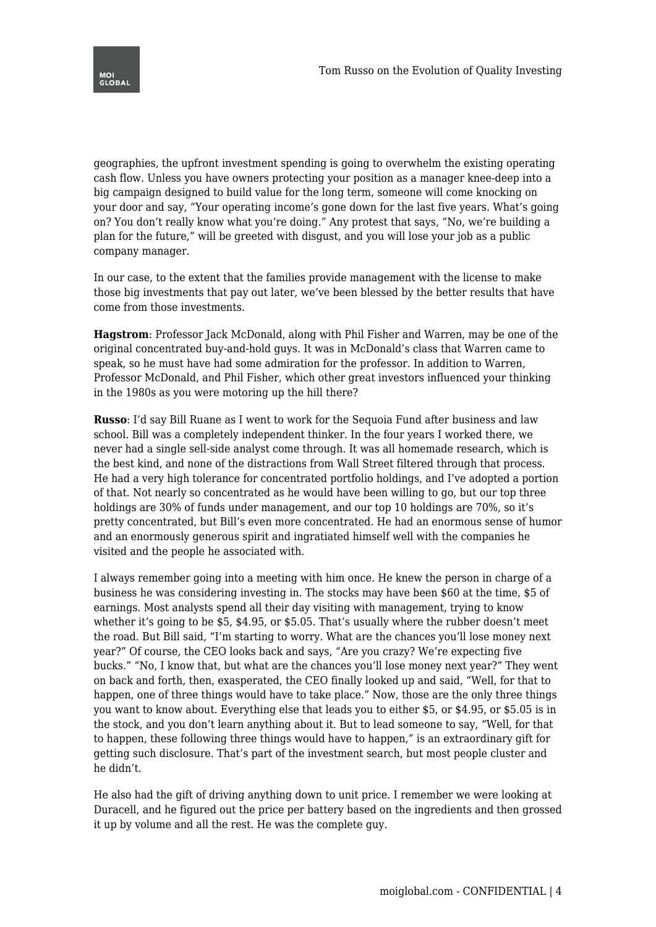

geographies, the upfront investment spending is going to overwhelm the existing operating cash flow. Unless you have owners protecting your position as a manager knee-deep into a big campaign designed to build value for the long term, someone will come knocking on your door and say, "Your operating income's gone down for the last five years. What's going on? You don't really know what you're doing." Any protest that says, "No, we're building a plan for the future," will be greeted with disgust, and you will lose your job as a public company manager.

In our case, to the extent that the families provide management with the license to make those big investments that pay out later, we've been blessed by the better results that have come from those investments.

**Hagstrom**: Professor Jack McDonald, along with Phil Fisher and Warren, may be one of the original concentrated buy-and-hold guys. It was in McDonald's class that Warren came to speak, so he must have had some admiration for the professor. In addition to Warren, Professor McDonald, and Phil Fisher, which other great investors influenced your thinking in the 1980s as you were motoring up the hill there?

**Russo**: I'd say Bill Ruane as I went to work for the Sequoia Fund after business and law school. Bill was a completely independent thinker. In the four years I worked there, we never had a single sell-side analyst come through. It was all homemade research, which is the best kind, and none of the distractions from Wall Street filtered through that process. He had a very high tolerance for concentrated portfolio holdings, and I've adopted a portion of that. Not nearly so concentrated as he would have been willing to go, but our top three holdings are 30% of funds under management, and our top 10 holdings are 70%, so it's pretty concentrated, but Bill's even more concentrated. He had an enormous sense of humor and an enormously generous spirit and ingratiated himself well with the companies he visited and the people he associated with.

I always remember going into a meeting with him once. He knew the person in charge of a business he was considering investing in. The stocks may have been \$60 at the time, \$5 of earnings. Most analysts spend all their day visiting with management, trying to know whether it's going to be \$5, \$4.95, or \$5.05. That's usually where the rubber doesn't meet the road. But Bill said, "I'm starting to worry. What are the chances you'll lose money next year?" Of course, the CEO looks back and says, "Are you crazy? We're expecting five bucks." "No, I know that, but what are the chances you'll lose money next year?" They went on back and forth, then, exasperated, the CEO finally looked up and said, "Well, for that to happen, one of three things would have to take place." Now, those are the only three things you want to know about. Everything else that leads you to either \$5, or \$4.95, or \$5.05 is in the stock, and you don't learn anything about it. But to lead someone to say, "Well, for that to happen, these following three things would have to happen," is an extraordinary gift for getting such disclosure. That's part of the investment search, but most people cluster and he didn't.

He also had the gift of driving anything down to unit price. I remember we were looking at Duracell, and he figured out the price per battery based on the ingredients and then grossed it up by volume and all the rest. He was the complete guy.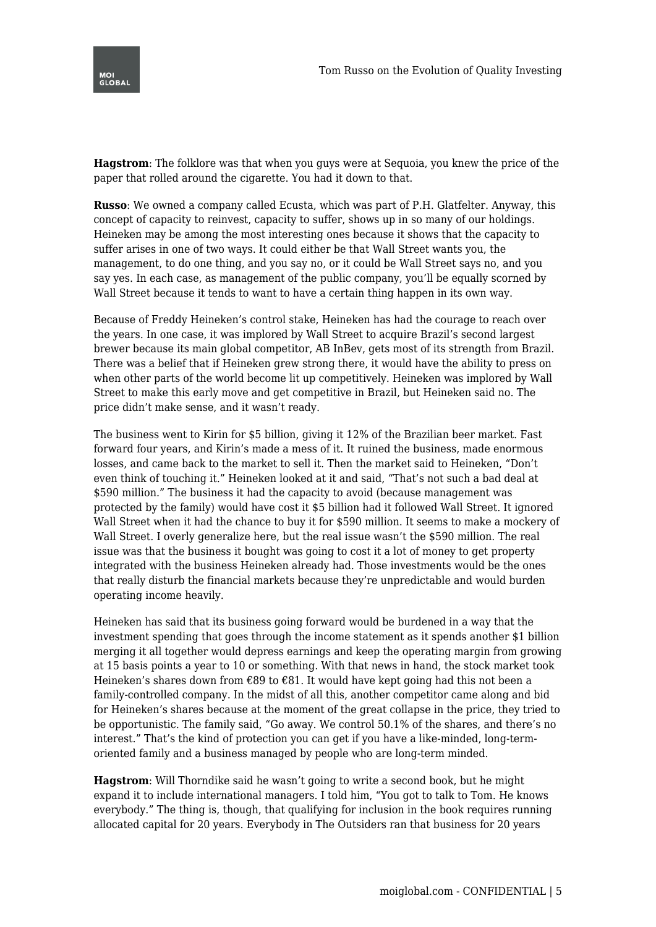

**Hagstrom**: The folklore was that when you guys were at Sequoia, you knew the price of the paper that rolled around the cigarette. You had it down to that.

**Russo**: We owned a company called Ecusta, which was part of P.H. Glatfelter. Anyway, this concept of capacity to reinvest, capacity to suffer, shows up in so many of our holdings. Heineken may be among the most interesting ones because it shows that the capacity to suffer arises in one of two ways. It could either be that Wall Street wants you, the management, to do one thing, and you say no, or it could be Wall Street says no, and you say yes. In each case, as management of the public company, you'll be equally scorned by Wall Street because it tends to want to have a certain thing happen in its own way.

Because of Freddy Heineken's control stake, Heineken has had the courage to reach over the years. In one case, it was implored by Wall Street to acquire Brazil's second largest brewer because its main global competitor, AB InBev, gets most of its strength from Brazil. There was a belief that if Heineken grew strong there, it would have the ability to press on when other parts of the world become lit up competitively. Heineken was implored by Wall Street to make this early move and get competitive in Brazil, but Heineken said no. The price didn't make sense, and it wasn't ready.

The business went to Kirin for \$5 billion, giving it 12% of the Brazilian beer market. Fast forward four years, and Kirin's made a mess of it. It ruined the business, made enormous losses, and came back to the market to sell it. Then the market said to Heineken, "Don't even think of touching it." Heineken looked at it and said, "That's not such a bad deal at \$590 million." The business it had the capacity to avoid (because management was protected by the family) would have cost it \$5 billion had it followed Wall Street. It ignored Wall Street when it had the chance to buy it for \$590 million. It seems to make a mockery of Wall Street. I overly generalize here, but the real issue wasn't the \$590 million. The real issue was that the business it bought was going to cost it a lot of money to get property integrated with the business Heineken already had. Those investments would be the ones that really disturb the financial markets because they're unpredictable and would burden operating income heavily.

Heineken has said that its business going forward would be burdened in a way that the investment spending that goes through the income statement as it spends another \$1 billion merging it all together would depress earnings and keep the operating margin from growing at 15 basis points a year to 10 or something. With that news in hand, the stock market took Heineken's shares down from €89 to €81. It would have kept going had this not been a family-controlled company. In the midst of all this, another competitor came along and bid for Heineken's shares because at the moment of the great collapse in the price, they tried to be opportunistic. The family said, "Go away. We control 50.1% of the shares, and there's no interest." That's the kind of protection you can get if you have a like-minded, long-termoriented family and a business managed by people who are long-term minded.

**Hagstrom**: Will Thorndike said he wasn't going to write a second book, but he might expand it to include international managers. I told him, "You got to talk to Tom. He knows everybody." The thing is, though, that qualifying for inclusion in the book requires running allocated capital for 20 years. Everybody in The Outsiders ran that business for 20 years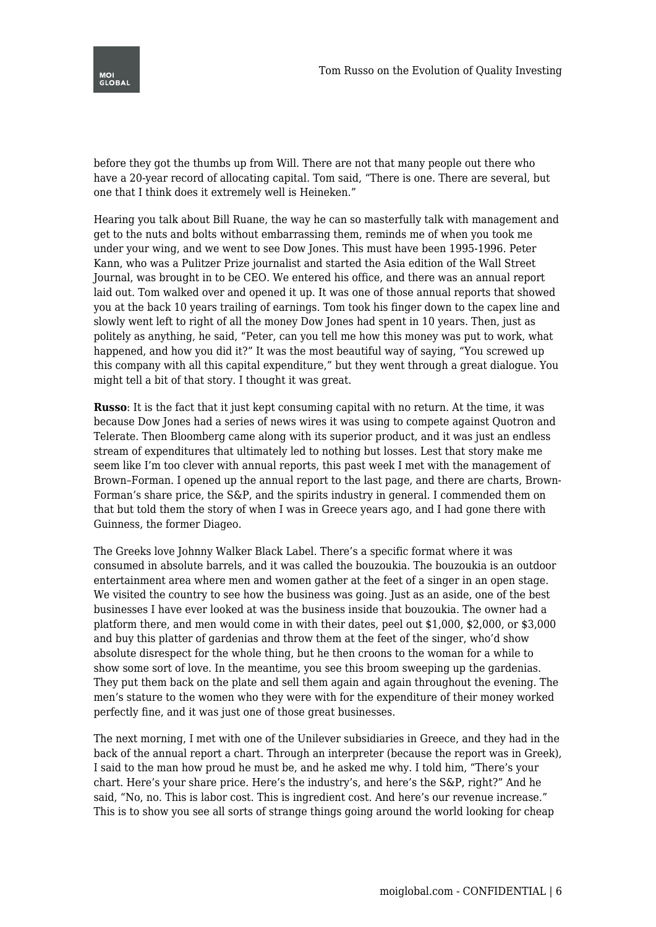

before they got the thumbs up from Will. There are not that many people out there who have a 20-year record of allocating capital. Tom said, "There is one. There are several, but one that I think does it extremely well is Heineken."

Hearing you talk about Bill Ruane, the way he can so masterfully talk with management and get to the nuts and bolts without embarrassing them, reminds me of when you took me under your wing, and we went to see Dow Jones. This must have been 1995-1996. Peter Kann, who was a Pulitzer Prize journalist and started the Asia edition of the Wall Street Journal, was brought in to be CEO. We entered his office, and there was an annual report laid out. Tom walked over and opened it up. It was one of those annual reports that showed you at the back 10 years trailing of earnings. Tom took his finger down to the capex line and slowly went left to right of all the money Dow Jones had spent in 10 years. Then, just as politely as anything, he said, "Peter, can you tell me how this money was put to work, what happened, and how you did it?" It was the most beautiful way of saying, "You screwed up this company with all this capital expenditure," but they went through a great dialogue. You might tell a bit of that story. I thought it was great.

**Russo**: It is the fact that it just kept consuming capital with no return. At the time, it was because Dow Jones had a series of news wires it was using to compete against Quotron and Telerate. Then Bloomberg came along with its superior product, and it was just an endless stream of expenditures that ultimately led to nothing but losses. Lest that story make me seem like I'm too clever with annual reports, this past week I met with the management of Brown–Forman. I opened up the annual report to the last page, and there are charts, Brown-Forman's share price, the S&P, and the spirits industry in general. I commended them on that but told them the story of when I was in Greece years ago, and I had gone there with Guinness, the former Diageo.

The Greeks love Johnny Walker Black Label. There's a specific format where it was consumed in absolute barrels, and it was called the bouzoukia. The bouzoukia is an outdoor entertainment area where men and women gather at the feet of a singer in an open stage. We visited the country to see how the business was going. Just as an aside, one of the best businesses I have ever looked at was the business inside that bouzoukia. The owner had a platform there, and men would come in with their dates, peel out \$1,000, \$2,000, or \$3,000 and buy this platter of gardenias and throw them at the feet of the singer, who'd show absolute disrespect for the whole thing, but he then croons to the woman for a while to show some sort of love. In the meantime, you see this broom sweeping up the gardenias. They put them back on the plate and sell them again and again throughout the evening. The men's stature to the women who they were with for the expenditure of their money worked perfectly fine, and it was just one of those great businesses.

The next morning, I met with one of the Unilever subsidiaries in Greece, and they had in the back of the annual report a chart. Through an interpreter (because the report was in Greek), I said to the man how proud he must be, and he asked me why. I told him, "There's your chart. Here's your share price. Here's the industry's, and here's the S&P, right?" And he said, "No, no. This is labor cost. This is ingredient cost. And here's our revenue increase." This is to show you see all sorts of strange things going around the world looking for cheap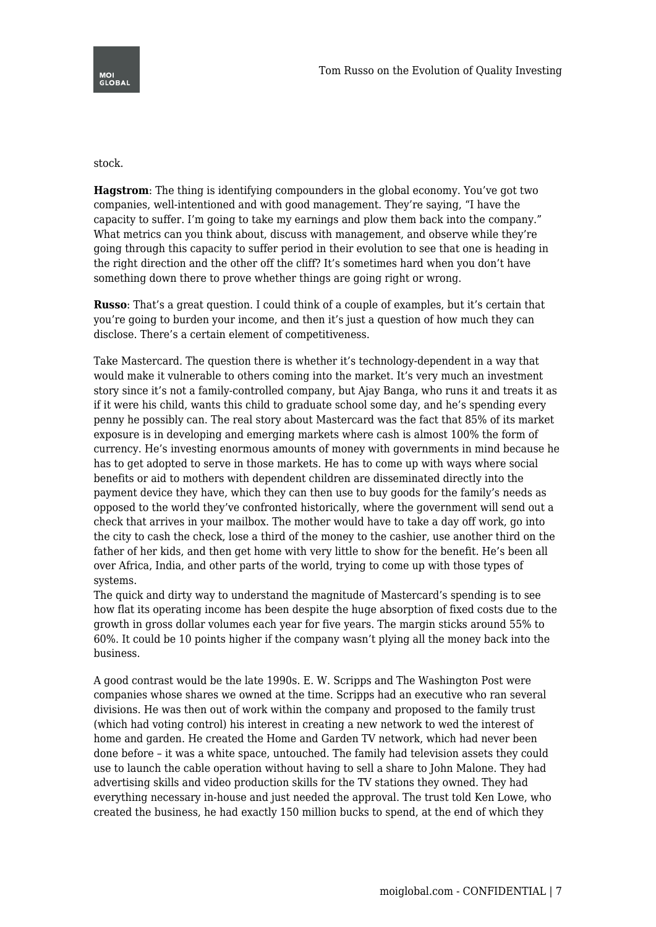## stock.

**Hagstrom**: The thing is identifying compounders in the global economy. You've got two companies, well-intentioned and with good management. They're saying, "I have the capacity to suffer. I'm going to take my earnings and plow them back into the company." What metrics can you think about, discuss with management, and observe while they're going through this capacity to suffer period in their evolution to see that one is heading in the right direction and the other off the cliff? It's sometimes hard when you don't have something down there to prove whether things are going right or wrong.

**Russo**: That's a great question. I could think of a couple of examples, but it's certain that you're going to burden your income, and then it's just a question of how much they can disclose. There's a certain element of competitiveness.

Take Mastercard. The question there is whether it's technology-dependent in a way that would make it vulnerable to others coming into the market. It's very much an investment story since it's not a family-controlled company, but Ajay Banga, who runs it and treats it as if it were his child, wants this child to graduate school some day, and he's spending every penny he possibly can. The real story about Mastercard was the fact that 85% of its market exposure is in developing and emerging markets where cash is almost 100% the form of currency. He's investing enormous amounts of money with governments in mind because he has to get adopted to serve in those markets. He has to come up with ways where social benefits or aid to mothers with dependent children are disseminated directly into the payment device they have, which they can then use to buy goods for the family's needs as opposed to the world they've confronted historically, where the government will send out a check that arrives in your mailbox. The mother would have to take a day off work, go into the city to cash the check, lose a third of the money to the cashier, use another third on the father of her kids, and then get home with very little to show for the benefit. He's been all over Africa, India, and other parts of the world, trying to come up with those types of systems.

The quick and dirty way to understand the magnitude of Mastercard's spending is to see how flat its operating income has been despite the huge absorption of fixed costs due to the growth in gross dollar volumes each year for five years. The margin sticks around 55% to 60%. It could be 10 points higher if the company wasn't plying all the money back into the business.

A good contrast would be the late 1990s. E. W. Scripps and The Washington Post were companies whose shares we owned at the time. Scripps had an executive who ran several divisions. He was then out of work within the company and proposed to the family trust (which had voting control) his interest in creating a new network to wed the interest of home and garden. He created the Home and Garden TV network, which had never been done before – it was a white space, untouched. The family had television assets they could use to launch the cable operation without having to sell a share to John Malone. They had advertising skills and video production skills for the TV stations they owned. They had everything necessary in-house and just needed the approval. The trust told Ken Lowe, who created the business, he had exactly 150 million bucks to spend, at the end of which they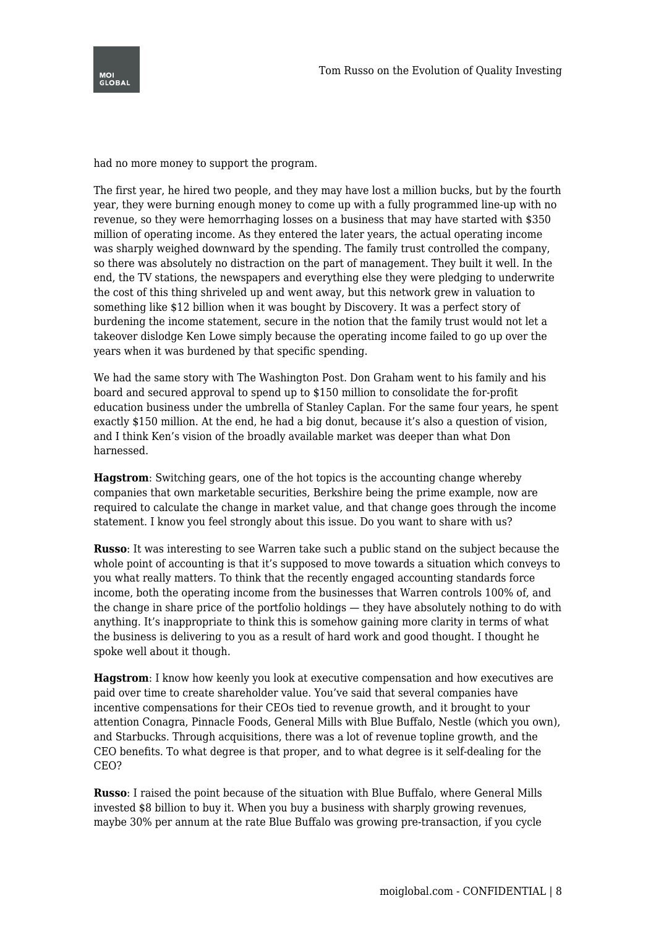

had no more money to support the program.

The first year, he hired two people, and they may have lost a million bucks, but by the fourth year, they were burning enough money to come up with a fully programmed line-up with no revenue, so they were hemorrhaging losses on a business that may have started with \$350 million of operating income. As they entered the later years, the actual operating income was sharply weighed downward by the spending. The family trust controlled the company, so there was absolutely no distraction on the part of management. They built it well. In the end, the TV stations, the newspapers and everything else they were pledging to underwrite the cost of this thing shriveled up and went away, but this network grew in valuation to something like \$12 billion when it was bought by Discovery. It was a perfect story of burdening the income statement, secure in the notion that the family trust would not let a takeover dislodge Ken Lowe simply because the operating income failed to go up over the years when it was burdened by that specific spending.

We had the same story with The Washington Post. Don Graham went to his family and his board and secured approval to spend up to \$150 million to consolidate the for-profit education business under the umbrella of Stanley Caplan. For the same four years, he spent exactly \$150 million. At the end, he had a big donut, because it's also a question of vision, and I think Ken's vision of the broadly available market was deeper than what Don harnessed.

**Hagstrom**: Switching gears, one of the hot topics is the accounting change whereby companies that own marketable securities, Berkshire being the prime example, now are required to calculate the change in market value, and that change goes through the income statement. I know you feel strongly about this issue. Do you want to share with us?

**Russo**: It was interesting to see Warren take such a public stand on the subject because the whole point of accounting is that it's supposed to move towards a situation which conveys to you what really matters. To think that the recently engaged accounting standards force income, both the operating income from the businesses that Warren controls 100% of, and the change in share price of the portfolio holdings — they have absolutely nothing to do with anything. It's inappropriate to think this is somehow gaining more clarity in terms of what the business is delivering to you as a result of hard work and good thought. I thought he spoke well about it though.

**Hagstrom**: I know how keenly you look at executive compensation and how executives are paid over time to create shareholder value. You've said that several companies have incentive compensations for their CEOs tied to revenue growth, and it brought to your attention Conagra, Pinnacle Foods, General Mills with Blue Buffalo, Nestle (which you own), and Starbucks. Through acquisitions, there was a lot of revenue topline growth, and the CEO benefits. To what degree is that proper, and to what degree is it self-dealing for the CEO?

**Russo**: I raised the point because of the situation with Blue Buffalo, where General Mills invested \$8 billion to buy it. When you buy a business with sharply growing revenues, maybe 30% per annum at the rate Blue Buffalo was growing pre-transaction, if you cycle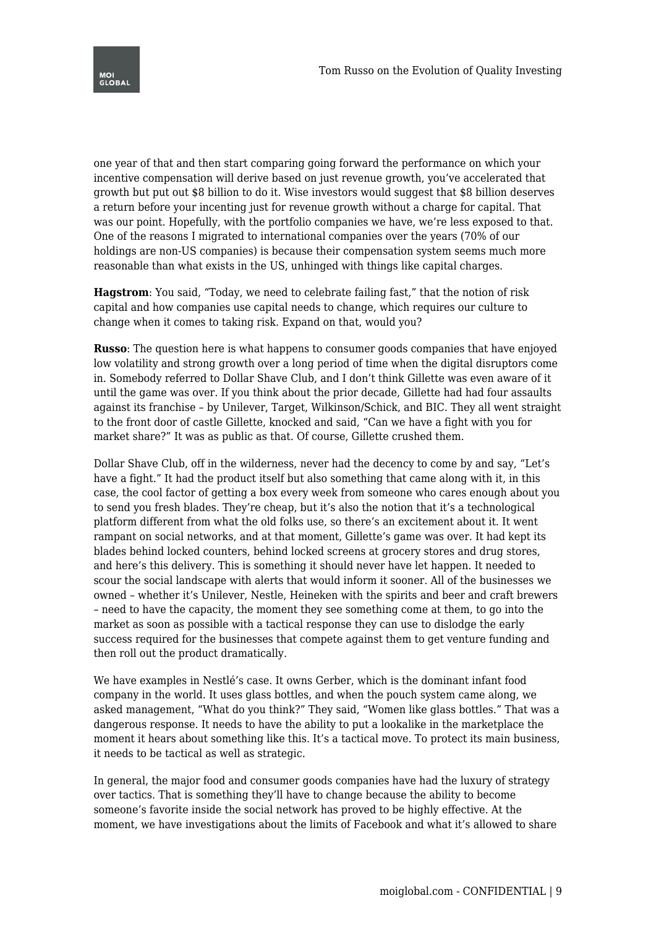

one year of that and then start comparing going forward the performance on which your incentive compensation will derive based on just revenue growth, you've accelerated that growth but put out \$8 billion to do it. Wise investors would suggest that \$8 billion deserves a return before your incenting just for revenue growth without a charge for capital. That was our point. Hopefully, with the portfolio companies we have, we're less exposed to that. One of the reasons I migrated to international companies over the years (70% of our holdings are non-US companies) is because their compensation system seems much more reasonable than what exists in the US, unhinged with things like capital charges.

**Hagstrom**: You said, "Today, we need to celebrate failing fast," that the notion of risk capital and how companies use capital needs to change, which requires our culture to change when it comes to taking risk. Expand on that, would you?

**Russo**: The question here is what happens to consumer goods companies that have enjoyed low volatility and strong growth over a long period of time when the digital disruptors come in. Somebody referred to Dollar Shave Club, and I don't think Gillette was even aware of it until the game was over. If you think about the prior decade, Gillette had had four assaults against its franchise – by Unilever, Target, Wilkinson/Schick, and BIC. They all went straight to the front door of castle Gillette, knocked and said, "Can we have a fight with you for market share?" It was as public as that. Of course, Gillette crushed them.

Dollar Shave Club, off in the wilderness, never had the decency to come by and say, "Let's have a fight." It had the product itself but also something that came along with it, in this case, the cool factor of getting a box every week from someone who cares enough about you to send you fresh blades. They're cheap, but it's also the notion that it's a technological platform different from what the old folks use, so there's an excitement about it. It went rampant on social networks, and at that moment, Gillette's game was over. It had kept its blades behind locked counters, behind locked screens at grocery stores and drug stores, and here's this delivery. This is something it should never have let happen. It needed to scour the social landscape with alerts that would inform it sooner. All of the businesses we owned – whether it's Unilever, Nestle, Heineken with the spirits and beer and craft brewers – need to have the capacity, the moment they see something come at them, to go into the market as soon as possible with a tactical response they can use to dislodge the early success required for the businesses that compete against them to get venture funding and then roll out the product dramatically.

We have examples in Nestlé's case. It owns Gerber, which is the dominant infant food company in the world. It uses glass bottles, and when the pouch system came along, we asked management, "What do you think?" They said, "Women like glass bottles." That was a dangerous response. It needs to have the ability to put a lookalike in the marketplace the moment it hears about something like this. It's a tactical move. To protect its main business, it needs to be tactical as well as strategic.

In general, the major food and consumer goods companies have had the luxury of strategy over tactics. That is something they'll have to change because the ability to become someone's favorite inside the social network has proved to be highly effective. At the moment, we have investigations about the limits of Facebook and what it's allowed to share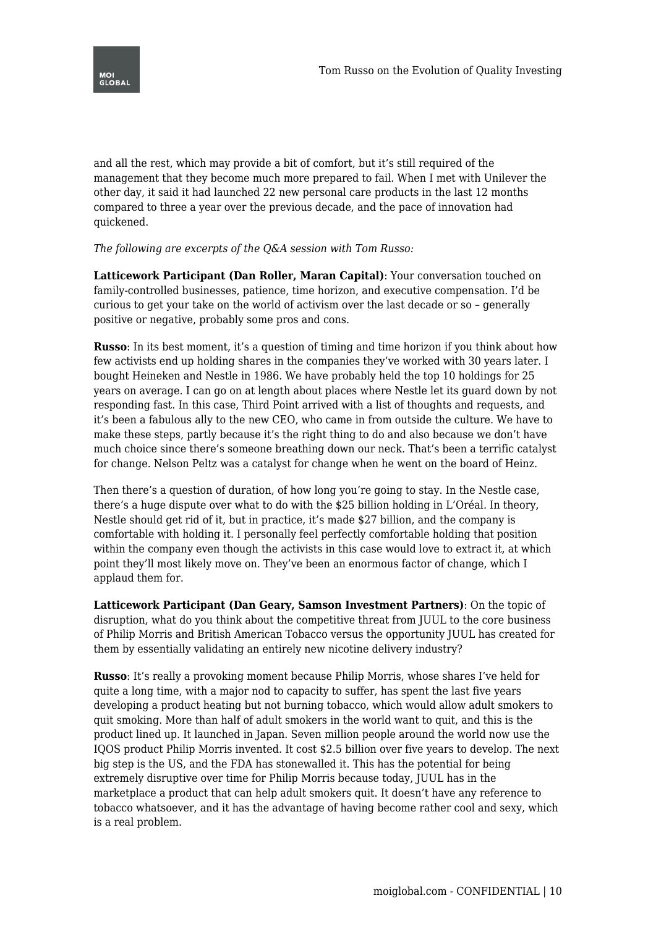

and all the rest, which may provide a bit of comfort, but it's still required of the management that they become much more prepared to fail. When I met with Unilever the other day, it said it had launched 22 new personal care products in the last 12 months compared to three a year over the previous decade, and the pace of innovation had quickened.

## *The following are excerpts of the Q&A session with Tom Russo:*

**Latticework Participant (Dan Roller, Maran Capital)**: Your conversation touched on family-controlled businesses, patience, time horizon, and executive compensation. I'd be curious to get your take on the world of activism over the last decade or so – generally positive or negative, probably some pros and cons.

**Russo**: In its best moment, it's a question of timing and time horizon if you think about how few activists end up holding shares in the companies they've worked with 30 years later. I bought Heineken and Nestle in 1986. We have probably held the top 10 holdings for 25 years on average. I can go on at length about places where Nestle let its guard down by not responding fast. In this case, Third Point arrived with a list of thoughts and requests, and it's been a fabulous ally to the new CEO, who came in from outside the culture. We have to make these steps, partly because it's the right thing to do and also because we don't have much choice since there's someone breathing down our neck. That's been a terrific catalyst for change. Nelson Peltz was a catalyst for change when he went on the board of Heinz.

Then there's a question of duration, of how long you're going to stay. In the Nestle case, there's a huge dispute over what to do with the \$25 billion holding in L'Oréal. In theory, Nestle should get rid of it, but in practice, it's made \$27 billion, and the company is comfortable with holding it. I personally feel perfectly comfortable holding that position within the company even though the activists in this case would love to extract it, at which point they'll most likely move on. They've been an enormous factor of change, which I applaud them for.

**Latticework Participant (Dan Geary, Samson Investment Partners)**: On the topic of disruption, what do you think about the competitive threat from JUUL to the core business of Philip Morris and British American Tobacco versus the opportunity JUUL has created for them by essentially validating an entirely new nicotine delivery industry?

**Russo**: It's really a provoking moment because Philip Morris, whose shares I've held for quite a long time, with a major nod to capacity to suffer, has spent the last five years developing a product heating but not burning tobacco, which would allow adult smokers to quit smoking. More than half of adult smokers in the world want to quit, and this is the product lined up. It launched in Japan. Seven million people around the world now use the IQOS product Philip Morris invented. It cost \$2.5 billion over five years to develop. The next big step is the US, and the FDA has stonewalled it. This has the potential for being extremely disruptive over time for Philip Morris because today, JUUL has in the marketplace a product that can help adult smokers quit. It doesn't have any reference to tobacco whatsoever, and it has the advantage of having become rather cool and sexy, which is a real problem.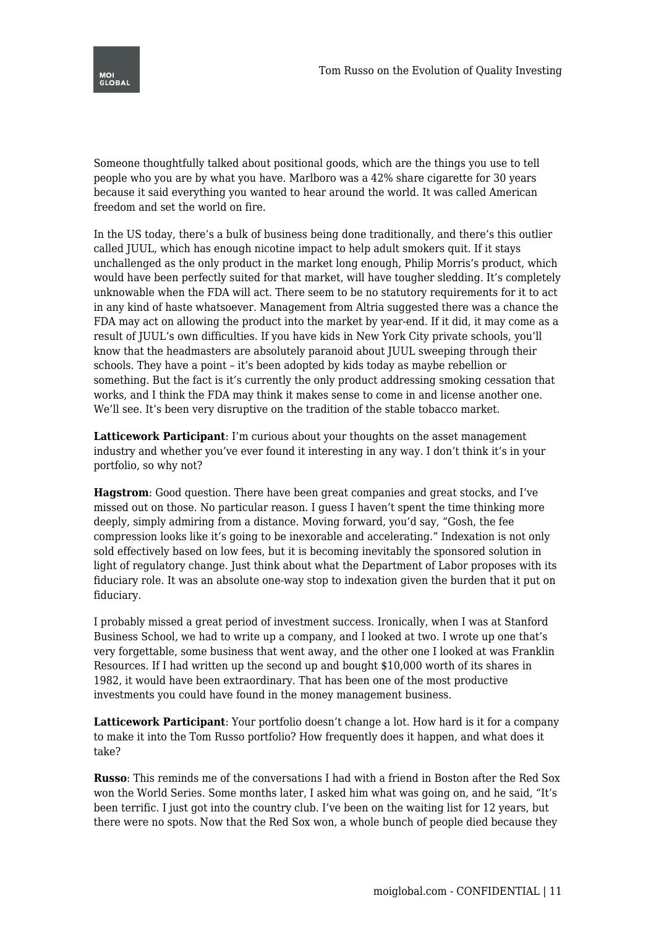

Someone thoughtfully talked about positional goods, which are the things you use to tell people who you are by what you have. Marlboro was a 42% share cigarette for 30 years because it said everything you wanted to hear around the world. It was called American freedom and set the world on fire.

In the US today, there's a bulk of business being done traditionally, and there's this outlier called JUUL, which has enough nicotine impact to help adult smokers quit. If it stays unchallenged as the only product in the market long enough, Philip Morris's product, which would have been perfectly suited for that market, will have tougher sledding. It's completely unknowable when the FDA will act. There seem to be no statutory requirements for it to act in any kind of haste whatsoever. Management from Altria suggested there was a chance the FDA may act on allowing the product into the market by year-end. If it did, it may come as a result of JUUL's own difficulties. If you have kids in New York City private schools, you'll know that the headmasters are absolutely paranoid about JUUL sweeping through their schools. They have a point – it's been adopted by kids today as maybe rebellion or something. But the fact is it's currently the only product addressing smoking cessation that works, and I think the FDA may think it makes sense to come in and license another one. We'll see. It's been very disruptive on the tradition of the stable tobacco market.

**Latticework Participant**: I'm curious about your thoughts on the asset management industry and whether you've ever found it interesting in any way. I don't think it's in your portfolio, so why not?

**Hagstrom**: Good question. There have been great companies and great stocks, and I've missed out on those. No particular reason. I guess I haven't spent the time thinking more deeply, simply admiring from a distance. Moving forward, you'd say, "Gosh, the fee compression looks like it's going to be inexorable and accelerating." Indexation is not only sold effectively based on low fees, but it is becoming inevitably the sponsored solution in light of regulatory change. Just think about what the Department of Labor proposes with its fiduciary role. It was an absolute one-way stop to indexation given the burden that it put on fiduciary.

I probably missed a great period of investment success. Ironically, when I was at Stanford Business School, we had to write up a company, and I looked at two. I wrote up one that's very forgettable, some business that went away, and the other one I looked at was Franklin Resources. If I had written up the second up and bought \$10,000 worth of its shares in 1982, it would have been extraordinary. That has been one of the most productive investments you could have found in the money management business.

**Latticework Participant**: Your portfolio doesn't change a lot. How hard is it for a company to make it into the Tom Russo portfolio? How frequently does it happen, and what does it take?

**Russo**: This reminds me of the conversations I had with a friend in Boston after the Red Sox won the World Series. Some months later, I asked him what was going on, and he said, "It's been terrific. I just got into the country club. I've been on the waiting list for 12 years, but there were no spots. Now that the Red Sox won, a whole bunch of people died because they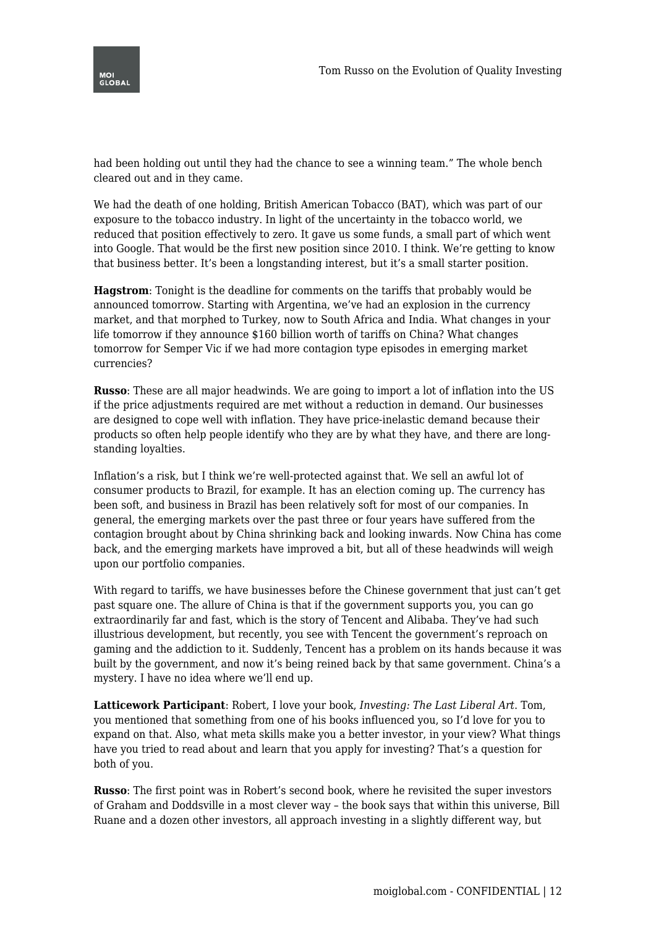

had been holding out until they had the chance to see a winning team." The whole bench cleared out and in they came.

We had the death of one holding, British American Tobacco (BAT), which was part of our exposure to the tobacco industry. In light of the uncertainty in the tobacco world, we reduced that position effectively to zero. It gave us some funds, a small part of which went into Google. That would be the first new position since 2010. I think. We're getting to know that business better. It's been a longstanding interest, but it's a small starter position.

**Hagstrom**: Tonight is the deadline for comments on the tariffs that probably would be announced tomorrow. Starting with Argentina, we've had an explosion in the currency market, and that morphed to Turkey, now to South Africa and India. What changes in your life tomorrow if they announce \$160 billion worth of tariffs on China? What changes tomorrow for Semper Vic if we had more contagion type episodes in emerging market currencies?

**Russo**: These are all major headwinds. We are going to import a lot of inflation into the US if the price adjustments required are met without a reduction in demand. Our businesses are designed to cope well with inflation. They have price-inelastic demand because their products so often help people identify who they are by what they have, and there are longstanding loyalties.

Inflation's a risk, but I think we're well-protected against that. We sell an awful lot of consumer products to Brazil, for example. It has an election coming up. The currency has been soft, and business in Brazil has been relatively soft for most of our companies. In general, the emerging markets over the past three or four years have suffered from the contagion brought about by China shrinking back and looking inwards. Now China has come back, and the emerging markets have improved a bit, but all of these headwinds will weigh upon our portfolio companies.

With regard to tariffs, we have businesses before the Chinese government that just can't get past square one. The allure of China is that if the government supports you, you can go extraordinarily far and fast, which is the story of Tencent and Alibaba. They've had such illustrious development, but recently, you see with Tencent the government's reproach on gaming and the addiction to it. Suddenly, Tencent has a problem on its hands because it was built by the government, and now it's being reined back by that same government. China's a mystery. I have no idea where we'll end up.

**Latticework Participant**: Robert, I love your book, *Investing: The Last Liberal Art*. Tom, you mentioned that something from one of his books influenced you, so I'd love for you to expand on that. Also, what meta skills make you a better investor, in your view? What things have you tried to read about and learn that you apply for investing? That's a question for both of you.

**Russo**: The first point was in Robert's second book, where he revisited the super investors of Graham and Doddsville in a most clever way – the book says that within this universe, Bill Ruane and a dozen other investors, all approach investing in a slightly different way, but